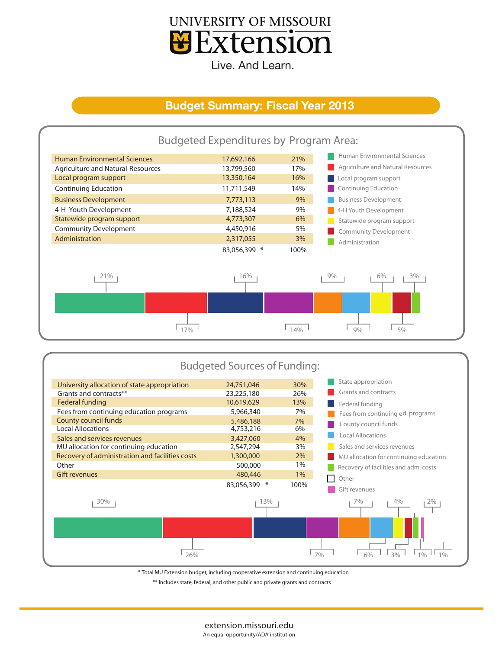

Live. And Learn.

## **Budget Summary: Fiscal Year 2013**



|                      | <b>Budgeted Sources of Funding:</b>             |              |       |                                        |  |  |  |  |  |
|----------------------|-------------------------------------------------|--------------|-------|----------------------------------------|--|--|--|--|--|
|                      | University allocation of state appropriation    | 24,751,046   | 30%   | State appropriation                    |  |  |  |  |  |
|                      | Grants and contracts**                          | 23,225,180   | 26%   | Grants and contracts                   |  |  |  |  |  |
|                      | Federal funding                                 | 10,619,629   | 13%   | Federal funding                        |  |  |  |  |  |
|                      | Fees from continuing education programs         | 5,966,340    | 7%    | Fees from continuing ed. programs      |  |  |  |  |  |
|                      | <b>County council funds</b>                     | 5,486,188    | 7%    | County council funds                   |  |  |  |  |  |
|                      | <b>Local Allocations</b>                        | 4,753,216    | 6%    |                                        |  |  |  |  |  |
|                      | Sales and services revenues                     | 3,427,060    | 4%    | <b>Local Allocations</b>               |  |  |  |  |  |
|                      | MU allocation for continuing education          | 2,547,294    | 3%    | Sales and services revenues            |  |  |  |  |  |
|                      | Recovery of administration and facilities costs | 1,300,000    | 2%    | MU allocation for continuing education |  |  |  |  |  |
|                      | Other                                           | 500,000      | 1%    | Recovery of facilities and adm. costs  |  |  |  |  |  |
| <b>Gift revenues</b> |                                                 | 480,446      | $1\%$ | Other                                  |  |  |  |  |  |
|                      |                                                 | 83,056,399 * | 100%  | Gift revenues                          |  |  |  |  |  |
|                      | 30%                                             | 13%          |       | 4%<br>7%<br>2%                         |  |  |  |  |  |
|                      |                                                 |              |       |                                        |  |  |  |  |  |
| 26%                  |                                                 |              |       | 3%<br>$1\%$<br>10/6<br>7%<br>6%        |  |  |  |  |  |

\* Total MU Extension budget, including cooperative extension and continuing education

\*\* Includes state, federal, and other public and private grants and contracts